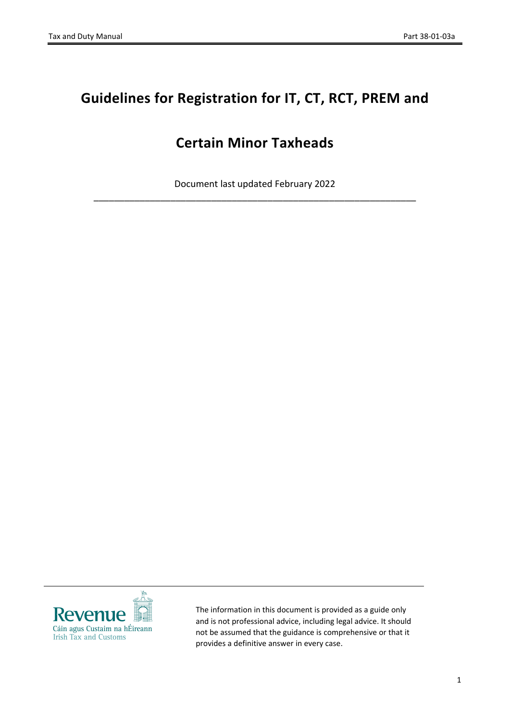# **Guidelines for Registration for IT, CT, RCT, PREM and**

# **Certain Minor Taxheads**

Document last updated February 2022 \_\_\_\_\_\_\_\_\_\_\_\_\_\_\_\_\_\_\_\_\_\_\_\_\_\_\_\_\_\_\_\_\_\_\_\_\_\_\_\_\_\_\_\_\_\_\_\_\_\_\_\_\_\_\_\_\_\_\_\_\_\_\_



The information in this document is provided as a guide only and is not professional advice, including legal advice. It should not be assumed that the guidance is comprehensive or that it provides a definitive answer in every case.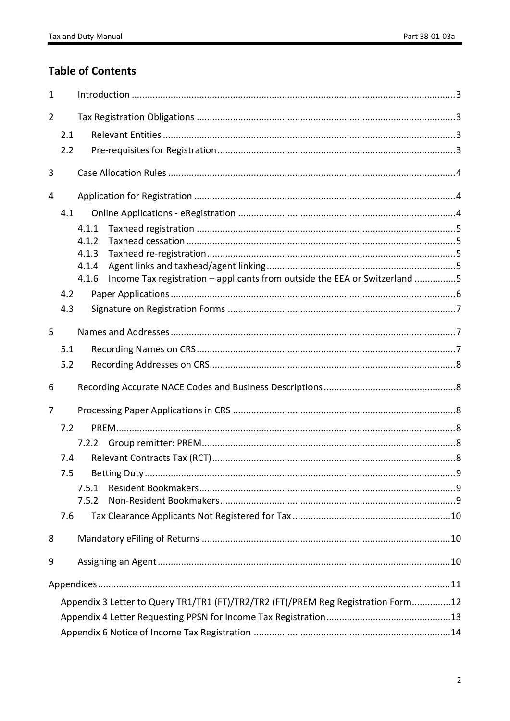## **Table of Contents**

| $\mathbf{1}$   |     |                                                                                   |                                                                            |  |  |  |
|----------------|-----|-----------------------------------------------------------------------------------|----------------------------------------------------------------------------|--|--|--|
| $\overline{2}$ |     |                                                                                   |                                                                            |  |  |  |
|                | 2.1 |                                                                                   |                                                                            |  |  |  |
|                | 2.2 |                                                                                   |                                                                            |  |  |  |
| 3              |     |                                                                                   |                                                                            |  |  |  |
| 4              |     |                                                                                   |                                                                            |  |  |  |
|                | 4.1 |                                                                                   |                                                                            |  |  |  |
|                |     | 4.1.1                                                                             |                                                                            |  |  |  |
|                |     | 4.1.2                                                                             |                                                                            |  |  |  |
|                |     | 4.1.3                                                                             |                                                                            |  |  |  |
|                |     | 4.1.4                                                                             |                                                                            |  |  |  |
|                |     | 4.1.6                                                                             | Income Tax registration - applicants from outside the EEA or Switzerland 5 |  |  |  |
|                | 4.2 |                                                                                   |                                                                            |  |  |  |
|                | 4.3 |                                                                                   |                                                                            |  |  |  |
| 5              |     |                                                                                   |                                                                            |  |  |  |
|                | 5.1 |                                                                                   |                                                                            |  |  |  |
|                | 5.2 |                                                                                   |                                                                            |  |  |  |
| 6              |     |                                                                                   |                                                                            |  |  |  |
| 7              |     |                                                                                   |                                                                            |  |  |  |
|                | 7.2 |                                                                                   |                                                                            |  |  |  |
|                |     |                                                                                   |                                                                            |  |  |  |
|                | 7.4 |                                                                                   |                                                                            |  |  |  |
|                | 7.5 |                                                                                   |                                                                            |  |  |  |
|                |     | 7.5.1                                                                             |                                                                            |  |  |  |
|                |     | 7.5.2                                                                             |                                                                            |  |  |  |
|                | 7.6 |                                                                                   |                                                                            |  |  |  |
| 8              |     |                                                                                   |                                                                            |  |  |  |
| 9              |     |                                                                                   |                                                                            |  |  |  |
|                |     |                                                                                   |                                                                            |  |  |  |
|                |     |                                                                                   |                                                                            |  |  |  |
|                |     | Appendix 3 Letter to Query TR1/TR1 (FT)/TR2/TR2 (FT)/PREM Reg Registration Form12 |                                                                            |  |  |  |
|                |     |                                                                                   |                                                                            |  |  |  |
|                |     |                                                                                   |                                                                            |  |  |  |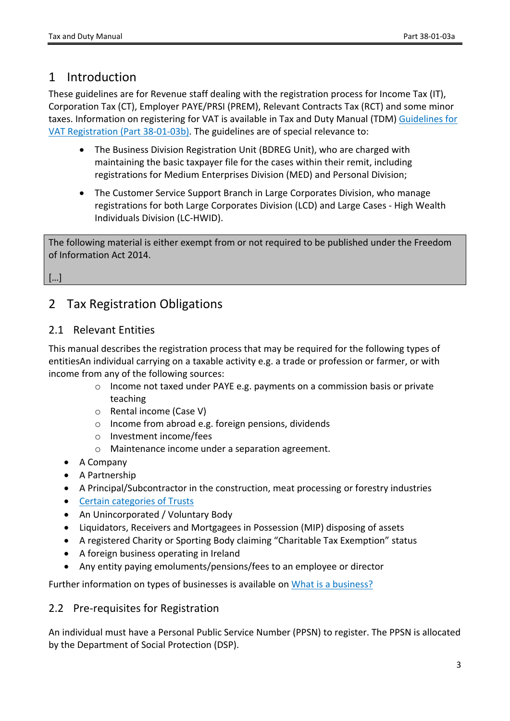## <span id="page-2-0"></span>1 Introduction

These guidelines are for Revenue staff dealing with the registration process for Income Tax (IT), Corporation Tax (CT), Employer PAYE/PRSI (PREM), Relevant Contracts Tax (RCT) and some minor taxes. Information on registering for VAT is available in Tax and Duty Manual (TDM) [Guidelines](https://www.revenue.ie/en/tax-professionals/tdm/income-tax-capital-gains-tax-corporation-tax/part-38/38-01-03b.pdf) [for](https://www.revenue.ie/en/tax-professionals/tdm/income-tax-capital-gains-tax-corporation-tax/part-38/38-01-03b.pdf) [VAT](https://www.revenue.ie/en/tax-professionals/tdm/income-tax-capital-gains-tax-corporation-tax/part-38/38-01-03b.pdf) [Registration](https://www.revenue.ie/en/tax-professionals/tdm/income-tax-capital-gains-tax-corporation-tax/part-38/38-01-03b.pdf) [\(Part](https://www.revenue.ie/en/tax-professionals/tdm/income-tax-capital-gains-tax-corporation-tax/part-38/38-01-03b.pdf) [38-01-03b\).](https://www.revenue.ie/en/tax-professionals/tdm/income-tax-capital-gains-tax-corporation-tax/part-38/38-01-03b.pdf) The guidelines are of special relevance to:

- The Business Division Registration Unit (BDREG Unit), who are charged with maintaining the basic taxpayer file for the cases within their remit, including registrations for Medium Enterprises Division (MED) and Personal Division;
- The Customer Service Support Branch in Large Corporates Division, who manage registrations for both Large Corporates Division (LCD) and Large Cases - High Wealth Individuals Division (LC-HWID).

The following material is either exempt from or not required to be published under the Freedom of Information Act 2014.

[…]

## <span id="page-2-1"></span>2 Tax Registration Obligations

## <span id="page-2-2"></span>2.1 Relevant Entities

This manual describes the registration process that may be required for the following types of entitiesAn individual carrying on a taxable activity e.g. a trade or profession or farmer, or with income from any of the following sources:

- o Income not taxed under PAYE e.g. payments on a commission basis or private teaching
- o Rental income (Case V)
- o Income from abroad e.g. foreign pensions, dividends
- o Investment income/fees
- o Maintenance income under a separation agreement.
- A Company
- A Partnership
- A Principal/Subcontractor in the construction, meat processing or forestry industries
- [Certain](https://www.revenue.ie/en/starting-a-business/registering-for-tax/eregistration.aspx) [categories](https://www.revenue.ie/en/starting-a-business/registering-for-tax/eregistration.aspx) [of](https://www.revenue.ie/en/starting-a-business/registering-for-tax/eregistration.aspx) [Trusts](https://www.revenue.ie/en/starting-a-business/registering-for-tax/eregistration.aspx)
- An Unincorporated / Voluntary Body
- Liquidators, Receivers and Mortgagees in Possession (MIP) disposing of assets
- A registered Charity or Sporting Body claiming "Charitable Tax Exemption" status
- A foreign business operating in Ireland
- Any entity paying emoluments/pensions/fees to an employee or director

Further information on types of businesses is available on [What](https://www.revenue.ie/en/starting-a-business/what-is-a-business/index.aspx) [is](https://www.revenue.ie/en/starting-a-business/what-is-a-business/index.aspx) [a](https://www.revenue.ie/en/starting-a-business/what-is-a-business/index.aspx) [business?](https://www.revenue.ie/en/starting-a-business/what-is-a-business/index.aspx)

### <span id="page-2-3"></span>2.2 Pre-requisites for Registration

An individual must have a Personal Public Service Number (PPSN) to register. The PPSN is allocated by the Department of Social Protection (DSP).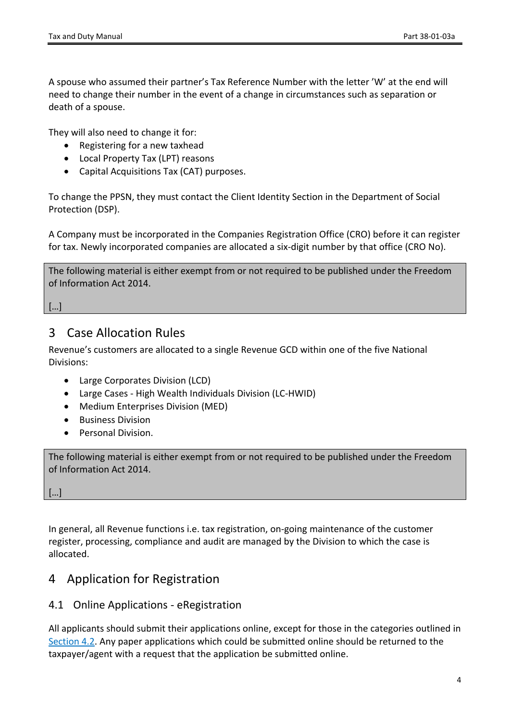A spouse who assumed their partner's Tax Reference Number with the letter 'W' at the end will need to change their number in the event of a change in circumstances such as separation or death of a spouse.

They will also need to change it for:

- Registering for a new taxhead
- Local Property Tax (LPT) reasons
- Capital Acquisitions Tax (CAT) purposes.

To change the PPSN, they must contact the Client Identity Section in the Department of Social Protection (DSP).

A Company must be incorporated in the Companies Registration Office (CRO) before it can register for tax. Newly incorporated companies are allocated a six-digit number by that office (CRO No).

The following material is either exempt from or not required to be published under the Freedom of Information Act 2014.

[…]

### <span id="page-3-0"></span>3 Case Allocation Rules

Revenue's customers are allocated to a single Revenue GCD within one of the five National Divisions:

- Large Corporates Division (LCD)
- Large Cases High Wealth Individuals Division (LC-HWID)
- Medium Enterprises Division (MED)
- Business Division
- Personal Division.

The following material is either exempt from or not required to be published under the Freedom of Information Act 2014.

[…]

In general, all Revenue functions i.e. tax registration, on-going maintenance of the customer register, processing, compliance and audit are managed by the Division to which the case is allocated.

## <span id="page-3-1"></span>4 Application for Registration

#### <span id="page-3-2"></span>4.1 Online Applications - [eRegistration](https://www.revenue.ie/en/online-services/index.aspx)

All applicants should submit their applications online, except for those in the categories outlined in [Section](#page-5-0) [4.2.](#page-5-0) Any paper applications which could be submitted online should be returned to the taxpayer/agent with a request that the application be submitted online.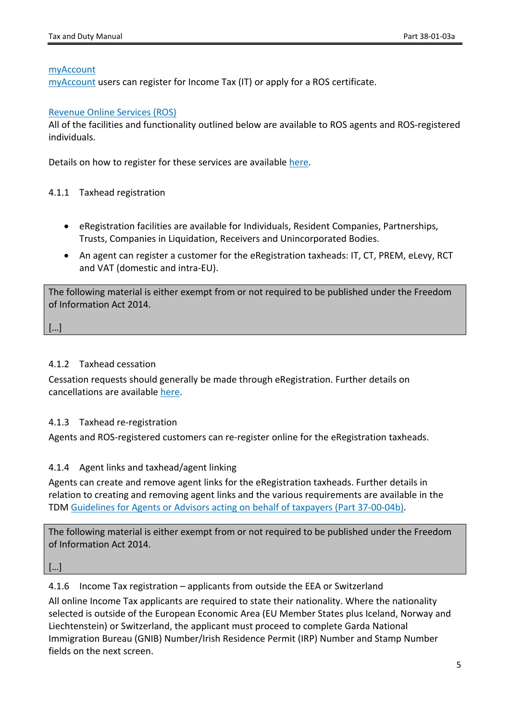#### [myAccount](https://www.ros.ie/myaccount-web/sign_in.html?execution=e1s1)

[myAccount](https://www.revenue.ie/en/online-services/services/register-for-an-online-service/register-for-myaccount.aspx) users can register for Income Tax (IT) or apply for a ROS certificate.

#### [Revenue](https://www.ros.ie/oidc/login/noCertsFound?lang=en&client_id=rosint_rp) [Online](https://www.ros.ie/oidc/login/noCertsFound?lang=en&client_id=rosint_rp) [Services](https://www.ros.ie/oidc/login/noCertsFound?lang=en&client_id=rosint_rp) [\(ROS\)](https://www.ros.ie/oidc/login/noCertsFound?lang=en&client_id=rosint_rp)

All of the facilities and functionality outlined below are available to ROS agents and ROS-registered individuals.

Details on how to register for these services are available [here](https://www.revenue.ie/en/online-services/index.aspx).

#### <span id="page-4-0"></span>4.1.1 Taxhead registration

- eRegistration facilities are available for Individuals, Resident Companies, Partnerships, Trusts, Companies in Liquidation, Receivers and Unincorporated Bodies.
- An agent can register a customer for the eRegistration taxheads: IT, CT, PREM, eLevy, RCT and VAT (domestic and intra-EU).

The following material is either exempt from or not required to be published under the Freedom of Information Act 2014.

[…]

#### <span id="page-4-1"></span>4.1.2 Taxhead cessation

Cessation requests should generally be made through eRegistration. Further details on cancellations are available [here.](https://www.revenue.ie/en/tax-professionals/tdm/income-tax-capital-gains-tax-corporation-tax/part-38/38-01-03c.pdf)

#### <span id="page-4-2"></span>4.1.3 Taxhead re-registration

Agents and ROS-registered customers can re-register online for the eRegistration taxheads.

#### <span id="page-4-3"></span>4.1.4 Agent links and taxhead/agent linking

Agents can create and remove agent links for the eRegistration taxheads. Further details in relation to creating and removing agent links and the various requirements are available in the TDM [Guidelines](https://revenue.ie/en/tax-professionals/tdm/income-tax-capital-gains-tax-corporation-tax/part-37/37-00-04b.pdf) [for](https://revenue.ie/en/tax-professionals/tdm/income-tax-capital-gains-tax-corporation-tax/part-37/37-00-04b.pdf) [Agents](https://revenue.ie/en/tax-professionals/tdm/income-tax-capital-gains-tax-corporation-tax/part-37/37-00-04b.pdf) [or](https://revenue.ie/en/tax-professionals/tdm/income-tax-capital-gains-tax-corporation-tax/part-37/37-00-04b.pdf) [Advisors](https://revenue.ie/en/tax-professionals/tdm/income-tax-capital-gains-tax-corporation-tax/part-37/37-00-04b.pdf) [acting](https://revenue.ie/en/tax-professionals/tdm/income-tax-capital-gains-tax-corporation-tax/part-37/37-00-04b.pdf) [on](https://revenue.ie/en/tax-professionals/tdm/income-tax-capital-gains-tax-corporation-tax/part-37/37-00-04b.pdf) [behalf](https://revenue.ie/en/tax-professionals/tdm/income-tax-capital-gains-tax-corporation-tax/part-37/37-00-04b.pdf) [of](https://revenue.ie/en/tax-professionals/tdm/income-tax-capital-gains-tax-corporation-tax/part-37/37-00-04b.pdf) [taxpayers](https://revenue.ie/en/tax-professionals/tdm/income-tax-capital-gains-tax-corporation-tax/part-37/37-00-04b.pdf) [\(Part](https://revenue.ie/en/tax-professionals/tdm/income-tax-capital-gains-tax-corporation-tax/part-37/37-00-04b.pdf) [37-00-04b\)](https://revenue.ie/en/tax-professionals/tdm/income-tax-capital-gains-tax-corporation-tax/part-37/37-00-04b.pdf).

The following material is either exempt from or not required to be published under the Freedom of Information Act 2014.

[…]

<span id="page-4-4"></span>4.1.6 Income Tax registration – applicants from outside the EEA or Switzerland

All online Income Tax applicants are required to state their nationality. Where the nationality selected is outside of the European Economic Area (EU Member States plus Iceland, Norway and Liechtenstein) or Switzerland, the applicant must proceed to complete Garda National Immigration Bureau (GNIB) Number/Irish Residence Permit (IRP) Number and Stamp Number fields on the next screen.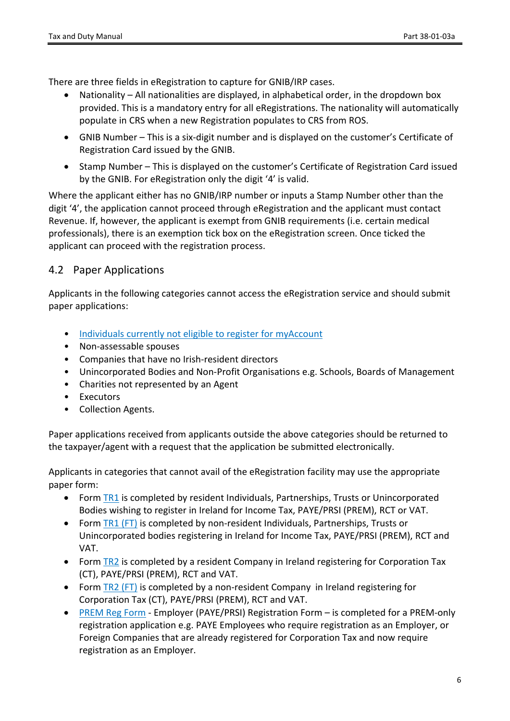There are three fields in eRegistration to capture for GNIB/IRP cases.

- Nationality All nationalities are displayed, in alphabetical order, in the dropdown box provided. This is a mandatory entry for all eRegistrations. The nationality will automatically populate in CRS when a new Registration populates to CRS from ROS.
- GNIB Number This is a six-digit number and is displayed on the customer's Certificate of Registration Card issued by the GNIB.
- Stamp Number This is displayed on the customer's Certificate of Registration Card issued by the GNIB. For eRegistration only the digit '4' is valid.

Where the applicant either has no GNIB/IRP number or inputs a Stamp Number other than the digit '4', the application cannot proceed through eRegistration and the applicant must contact Revenue. If, however, the applicant is exempt from GNIB requirements (i.e. certain medical professionals), there is an exemption tick box on the eRegistration screen. Once ticked the applicant can proceed with the registration process.

### <span id="page-5-0"></span>4.2 Paper Applications

Applicants in the following categories cannot access the eRegistration service and should submit paper applications:

- [Individuals](https://www.revenue.ie/en/online-services/support/documents/help-guides/myaccount/faqs.pdf) [currently](https://www.revenue.ie/en/online-services/support/documents/help-guides/myaccount/faqs.pdf) [not](https://www.revenue.ie/en/online-services/support/documents/help-guides/myaccount/faqs.pdf) [eligible](https://www.revenue.ie/en/online-services/support/documents/help-guides/myaccount/faqs.pdf) [to](https://www.revenue.ie/en/online-services/support/documents/help-guides/myaccount/faqs.pdf) [register](https://www.revenue.ie/en/online-services/support/documents/help-guides/myaccount/faqs.pdf) [for](https://www.revenue.ie/en/online-services/support/documents/help-guides/myaccount/faqs.pdf) [myAccount](https://www.revenue.ie/en/online-services/support/documents/help-guides/myaccount/faqs.pdf)
- Non-assessable spouses
- Companies that have no Irish-resident directors
- Unincorporated Bodies and Non-Profit Organisations e.g. Schools, Boards of Management
- Charities not represented by an Agent
- **Executors**
- Collection Agents.

Paper applications received from applicants outside the above categories should be returned to the taxpayer/agent with a request that the application be submitted electronically.

Applicants in categories that cannot avail of the eRegistration facility may use the appropriate paper form:

- Form [TR1](https://www.revenue.ie/en/self-assessment-and-self-employment/documents/form-tr1.pdf) is completed by resident Individuals, Partnerships, Trusts or Unincorporated Bodies wishing to register in Ireland for Income Tax, PAYE/PRSI (PREM), RCT or VAT.
- Form [TR1](https://www.revenue.ie/en/self-assessment-and-self-employment/documents/form-tr1-non-resident.pdf) [\(FT\)](https://www.revenue.ie/en/self-assessment-and-self-employment/documents/form-tr1-non-resident.pdf) is completed by non-resident Individuals, Partnerships, Trusts or Unincorporated bodies registering in Ireland for Income Tax, PAYE/PRSI (PREM), RCT and VAT.
- Form [TR2](https://www.revenue.ie/en/self-assessment-and-self-employment/documents/form-tr2.pdf) is completed by a resident Company in Ireland registering for Corporation Tax (CT), PAYE/PRSI (PREM), RCT and VAT.
- Form [TR2](https://www.revenue.ie/en/self-assessment-and-self-employment/documents/form-tr2-non-resident.pdf) [\(FT\)](https://www.revenue.ie/en/self-assessment-and-self-employment/documents/form-tr2-non-resident.pdf) is completed by a non-resident Company in Ireland registering for Corporation Tax (CT), PAYE/PRSI (PREM), RCT and VAT.
- [PREM](https://www.revenue.ie/en/self-assessment-and-self-employment/documents/form-premreg.pdf) [Reg](https://www.revenue.ie/en/self-assessment-and-self-employment/documents/form-premreg.pdf) [Form](https://www.revenue.ie/en/self-assessment-and-self-employment/documents/form-premreg.pdf) Employer (PAYE/PRSI) Registration Form is completed for a PREM-only registration application e.g. PAYE Employees who require registration as an Employer, or Foreign Companies that are already registered for Corporation Tax and now require registration as an Employer.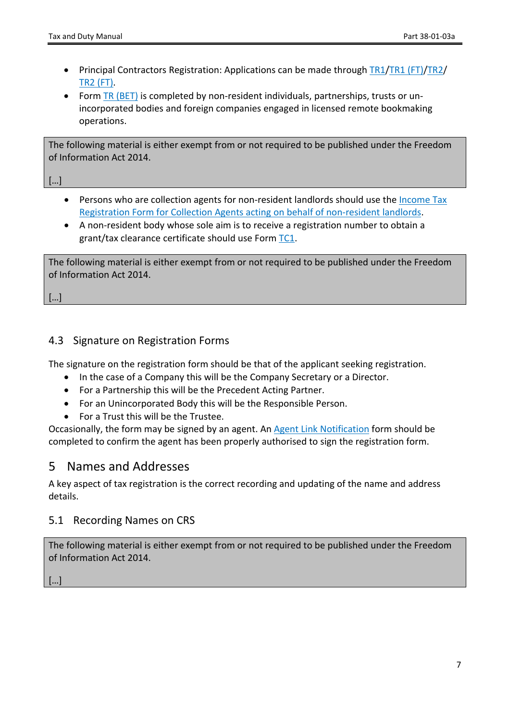- Principal Contractors Registration: Applications can be made through [TR1](https://www.revenue.ie/en/self-assessment-and-self-employment/documents/form-tr1-non-resident.pdf)/TR1 [\(FT\)/](https://www.revenue.ie/en/self-assessment-and-self-employment/documents/form-tr1-non-resident.pdf)[TR2/](https://www.revenue.ie/en/self-assessment-and-self-employment/documents/form-tr2.pdf) [TR2](https://www.revenue.ie/en/self-assessment-and-self-employment/documents/form-tr2-non-resident.pdf) [\(FT\)](https://www.revenue.ie/en/self-assessment-and-self-employment/documents/form-tr2-non-resident.pdf).
- Form [TR](https://www.revenue.ie/en/companies-and-charities/documents/excise/licencing/tax-registration-tr-bet.pdf) [\(BET\)](https://www.revenue.ie/en/companies-and-charities/documents/excise/licencing/tax-registration-tr-bet.pdf) is completed by non-resident individuals, partnerships, trusts or unincorporated bodies and foreign companies engaged in licensed remote bookmaking operations.

The following material is either exempt from or not required to be published under the Freedom of Information Act 2014.

[…]

- Persons who are collection agents for non-resident landlords should use the [Income](https://www.revenue.ie/en/property/documents/income-tax-reg-form-for-collection-agents.pdf) [Tax](https://www.revenue.ie/en/property/documents/income-tax-reg-form-for-collection-agents.pdf) [Registration](https://www.revenue.ie/en/property/documents/income-tax-reg-form-for-collection-agents.pdf) [Form](https://www.revenue.ie/en/property/documents/income-tax-reg-form-for-collection-agents.pdf) [for](https://www.revenue.ie/en/property/documents/income-tax-reg-form-for-collection-agents.pdf) [Collection](https://www.revenue.ie/en/property/documents/income-tax-reg-form-for-collection-agents.pdf) [Agents](https://www.revenue.ie/en/property/documents/income-tax-reg-form-for-collection-agents.pdf) [acting](https://www.revenue.ie/en/property/documents/income-tax-reg-form-for-collection-agents.pdf) [on](https://www.revenue.ie/en/property/documents/income-tax-reg-form-for-collection-agents.pdf) [behalf](https://www.revenue.ie/en/property/documents/income-tax-reg-form-for-collection-agents.pdf) [of](https://www.revenue.ie/en/property/documents/income-tax-reg-form-for-collection-agents.pdf) [non-resident](https://www.revenue.ie/en/property/documents/income-tax-reg-form-for-collection-agents.pdf) [landlords.](https://www.revenue.ie/en/property/documents/income-tax-reg-form-for-collection-agents.pdf)
- A non-resident body whose sole aim is to receive a registration number to obtain a grant/tax clearance certificate should use Form [TC1](https://www.revenue.ie/en/starting-a-business/documents/form-tc1.pdf).

The following material is either exempt from or not required to be published under the Freedom of Information Act 2014.

[…]

### <span id="page-6-0"></span>4.3 Signature on Registration Forms

The signature on the registration form should be that of the applicant seeking registration.

- In the case of a Company this will be the Company Secretary or a Director.
- For a Partnership this will be the Precedent Acting Partner.
- For an Unincorporated Body this will be the Responsible Person.
- For a Trust this will be the Trustee.

Occasionally, the form may be signed by an agent. An [Agent](https://www.revenue.ie/en/starting-a-business/documents/agent-link-notification-form.pdf) [Link](https://www.revenue.ie/en/starting-a-business/documents/agent-link-notification-form.pdf) [Notification](https://www.revenue.ie/en/starting-a-business/documents/agent-link-notification-form.pdf) form should be completed to confirm the agent has been properly authorised to sign the registration form.

### <span id="page-6-1"></span>5 Names and Addresses

A key aspect of tax registration is the correct recording and updating of the name and address details.

#### <span id="page-6-2"></span>5.1 Recording Names on CRS

The following material is either exempt from or not required to be published under the Freedom of Information Act 2014.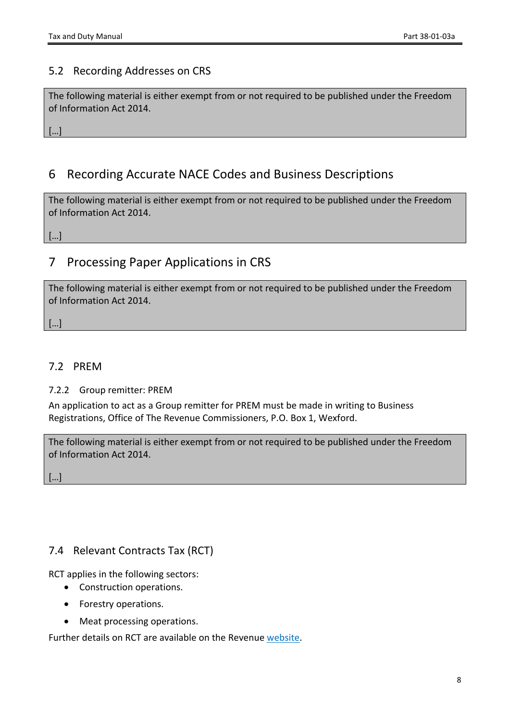### <span id="page-7-0"></span>5.2 Recording Addresses on CRS

The following material is either exempt from or not required to be published under the Freedom of Information Act 2014.

[…]

## <span id="page-7-1"></span>6 Recording Accurate NACE Codes and Business Descriptions

The following material is either exempt from or not required to be published under the Freedom of Information Act 2014.

[…]

## <span id="page-7-2"></span>7 Processing Paper Applications in CRS

The following material is either exempt from or not required to be published under the Freedom of Information Act 2014.

[…]

### <span id="page-7-3"></span>7.2 PREM

<span id="page-7-4"></span>7.2.2 Group remitter: PREM

An application to act as a Group remitter for PREM must be made in writing to Business Registrations, Office of The Revenue Commissioners, P.O. Box 1, Wexford.

The following material is either exempt from or not required to be published under the Freedom of Information Act 2014.

[…]

### <span id="page-7-5"></span>7.4 Relevant Contracts Tax (RCT)

RCT applies in the following sectors:

- Construction operations.
- Forestry operations.
- Meat processing operations.

Further details on RCT are available on the Revenue [website.](https://www.revenue.ie/en/self-assessment-and-self-employment/rct/index.aspx)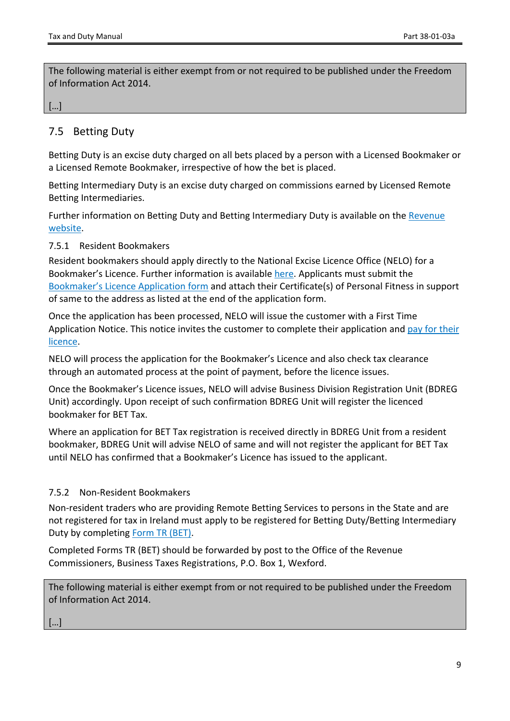The following material is either exempt from or not required to be published under the Freedom of Information Act 2014.

#### […]

### <span id="page-8-0"></span>7.5 Betting Duty

Betting Duty is an excise duty charged on all bets placed by a person with a Licensed Bookmaker or a Licensed Remote Bookmaker, irrespective of how the bet is placed.

Betting Intermediary Duty is an excise duty charged on commissions earned by Licensed Remote Betting Intermediaries.

Further information on Betting Duty and Betting Intermediary Duty is available on the [Revenue](https://www.revenue.ie/en/companies-and-charities/excise-and-licences/betting-duty/index.aspx) [website.](https://www.revenue.ie/en/companies-and-charities/excise-and-licences/betting-duty/index.aspx)

#### <span id="page-8-1"></span>7.5.1 Resident Bookmakers

Resident bookmakers should apply directly to the National Excise Licence Office (NELO) for a Bookmaker's Licence. Further information is available [here.](https://www.revenue.ie/en/companies-and-charities/excise-and-licences/excise-licensing/bookmakers-licence/index.aspx) Applicants must submit the [Bookmaker's](https://www.revenue.ie/en/companies-and-charities/documents/excise/licencing/bookmakers-licence-application.pdf) [Licence](https://www.revenue.ie/en/companies-and-charities/documents/excise/licencing/bookmakers-licence-application.pdf) [Application](https://www.revenue.ie/en/companies-and-charities/documents/excise/licencing/bookmakers-licence-application.pdf) [form](https://www.revenue.ie/en/companies-and-charities/documents/excise/licencing/bookmakers-licence-application.pdf) and attach their Certificate(s) of Personal Fitness in support of same to the address as listed at the end of the application form.

Once the application has been processed, NELO will issue the customer with a First Time Application Notice. This notice invites the customer to complete their application and [pay](https://www.revenue.ie/en/companies-and-charities/excise-and-licences/excise-licensing/excise-licence-payment-options/index.aspx) [for](https://www.revenue.ie/en/companies-and-charities/excise-and-licences/excise-licensing/excise-licence-payment-options/index.aspx) [their](https://www.revenue.ie/en/companies-and-charities/excise-and-licences/excise-licensing/excise-licence-payment-options/index.aspx) [licence.](https://www.revenue.ie/en/companies-and-charities/excise-and-licences/excise-licensing/excise-licence-payment-options/index.aspx)

NELO will process the application for the Bookmaker's Licence and also check tax clearance through an automated process at the point of payment, before the licence issues.

Once the Bookmaker's Licence issues, NELO will advise Business Division Registration Unit (BDREG Unit) accordingly. Upon receipt of such confirmation BDREG Unit will register the licenced bookmaker for BET Tax.

Where an application for BET Tax registration is received directly in BDREG Unit from a resident bookmaker, BDREG Unit will advise NELO of same and will not register the applicant for BET Tax until NELO has confirmed that a Bookmaker's Licence has issued to the applicant.

#### <span id="page-8-2"></span>7.5.2 Non-Resident Bookmakers

Non-resident traders who are providing Remote Betting Services to persons in the State and are not registered for tax in Ireland must apply to be registered for Betting Duty/Betting Intermediary Duty by completing [Form](https://www.revenue.ie/en/companies-and-charities/documents/excise/licencing/tax-registration-tr-bet.pdf) [TR](https://www.revenue.ie/en/companies-and-charities/documents/excise/licencing/tax-registration-tr-bet.pdf) [\(BET\)](https://www.revenue.ie/en/companies-and-charities/documents/excise/licencing/tax-registration-tr-bet.pdf).

Completed Forms TR (BET) should be forwarded by post to the Office of the Revenue Commissioners, Business Taxes Registrations, P.O. Box 1, Wexford.

The following material is either exempt from or not required to be published under the Freedom of Information Act 2014.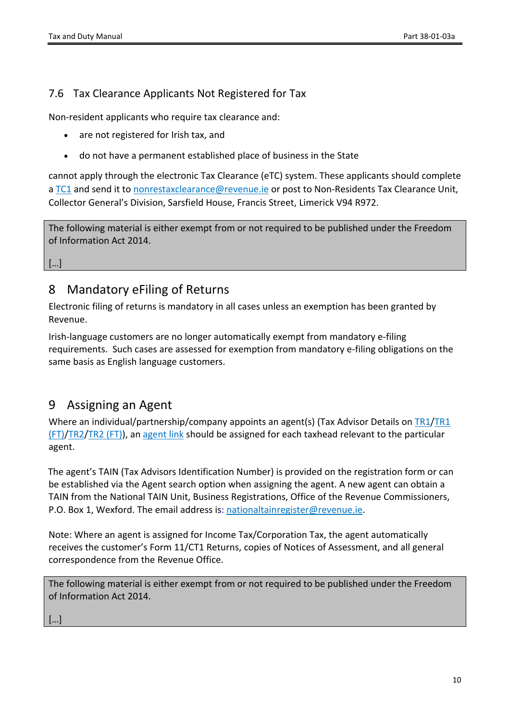### <span id="page-9-0"></span>7.6 Tax Clearance Applicants Not Registered for Tax

Non-resident applicants who require tax clearance and:

- are not registered for Irish tax, and
- do not have a permanent established place of business in the State

cannot apply through the electronic Tax Clearance (eTC) system. These applicants should complete a [TC1](https://www.revenue.ie/en/starting-a-business/documents/form-tc1.pdf) and send it to [nonrestaxclearance@revenue.ie](mailto:nonrestaxclearance@revenue.ie) or post to Non-Residents Tax Clearance Unit, Collector General's Division, Sarsfield House, Francis Street, Limerick V94 R972.

The following material is either exempt from or not required to be published under the Freedom of Information Act 2014.

[…]

## <span id="page-9-1"></span>8 Mandatory eFiling of Returns

Electronic filing of returns is mandatory in all cases unless an exemption has been granted by Revenue.

Irish-language customers are no longer automatically exempt from mandatory e-filing requirements. Such cases are assessed for exemption from mandatory e-filing obligations on the same basis as English language customers.

## <span id="page-9-2"></span>9 Assigning an Agent

Where an individual/partnership/company appoints an agent(s) (Tax Advisor Details on [TR1](https://www.revenue.ie/en/self-assessment-and-self-employment/documents/form-tr1.pdf)[/TR1](https://www.revenue.ie/en/self-assessment-and-self-employment/documents/form-tr1-non-resident.pdf) [\(FT\)](https://www.revenue.ie/en/self-assessment-and-self-employment/documents/form-tr1-non-resident.pdf)/[TR2](https://www.revenue.ie/en/self-assessment-and-self-employment/documents/form-tr2.pdf)[/TR2](https://www.revenue.ie/en/self-assessment-and-self-employment/documents/form-tr2-non-resident.pdf) [\(FT\)\)](https://www.revenue.ie/en/self-assessment-and-self-employment/documents/form-tr2-non-resident.pdf), an [agent](https://www.revenue.ie/en/starting-a-business/documents/agent-link-notification-form.pdf) [link](https://www.revenue.ie/en/starting-a-business/documents/agent-link-notification-form.pdf) should be assigned for each taxhead relevant to the particular agent.

The agent's TAIN (Tax Advisors Identification Number) is provided on the registration form or can be established via the Agent search option when assigning the agent. A new agent can obtain a TAIN from the National TAIN Unit, Business Registrations, Office of the Revenue Commissioners, P.O. Box 1, Wexford. The email address is: [nationaltainregister@revenue.ie](mailto:nationaltainregister@revenue.ie).

Note: Where an agent is assigned for Income Tax/Corporation Tax, the agent automatically receives the customer's Form 11/CT1 Returns, copies of Notices of Assessment, and all general correspondence from the Revenue Office.

The following material is either exempt from or not required to be published under the Freedom of Information Act 2014.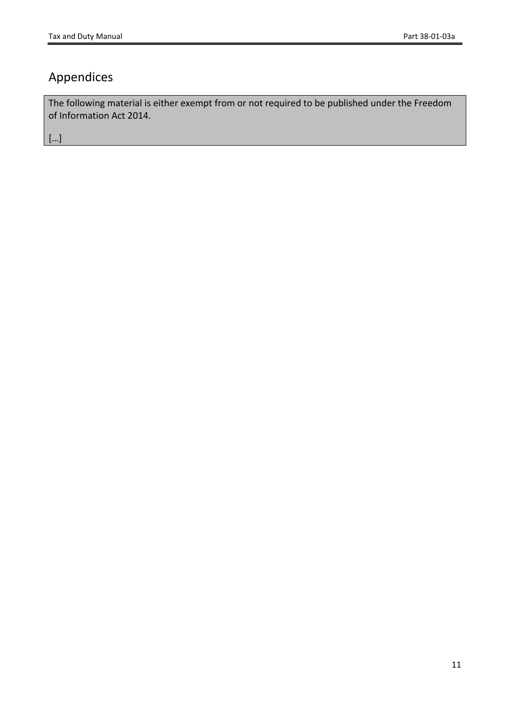# <span id="page-10-0"></span>Appendices

The following material is either exempt from or not required to be published under the Freedom of Information Act 2014.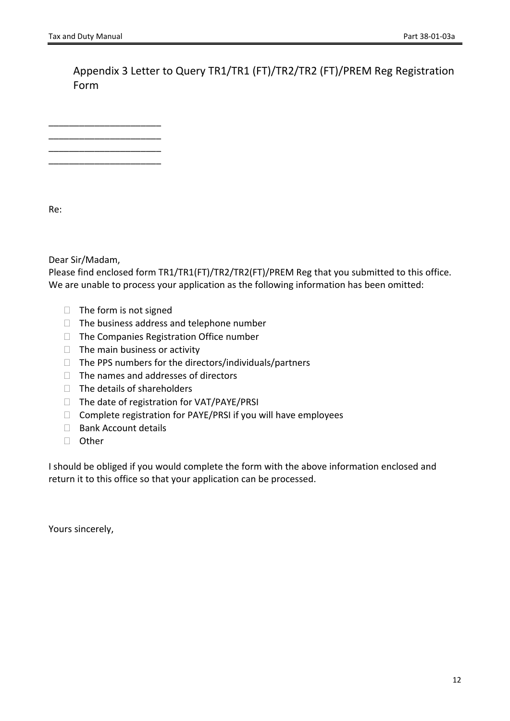<span id="page-11-0"></span>Appendix 3 Letter to Query TR1/TR1 (FT)/TR2/TR2 (FT)/PREM Reg Registration Form

\_\_\_\_\_\_\_\_\_\_\_\_\_\_\_\_\_\_\_\_\_\_ \_\_\_\_\_\_\_\_\_\_\_\_\_\_\_\_\_\_\_\_\_\_ \_\_\_\_\_\_\_\_\_\_\_\_\_\_\_\_\_\_\_\_\_\_ \_\_\_\_\_\_\_\_\_\_\_\_\_\_\_\_\_\_\_\_\_\_

Re:

Dear Sir/Madam,

Please find enclosed form TR1/TR1(FT)/TR2/TR2(FT)/PREM Reg that you submitted to this office. We are unable to process your application as the following information has been omitted:

- $\Box$  The form is not signed
- $\Box$  The business address and telephone number
- $\Box$  The Companies Registration Office number
- $\Box$  The main business or activity
- $\Box$  The PPS numbers for the directors/individuals/partners
- $\Box$  The names and addresses of directors
- $\Box$  The details of shareholders
- $\Box$  The date of registration for VAT/PAYE/PRSI
- $\Box$  Complete registration for PAYE/PRSI if you will have employees
- $\Box$  Bank Account details
- □ Other

I should be obliged if you would complete the form with the above information enclosed and return it to this office so that your application can be processed.

Yours sincerely,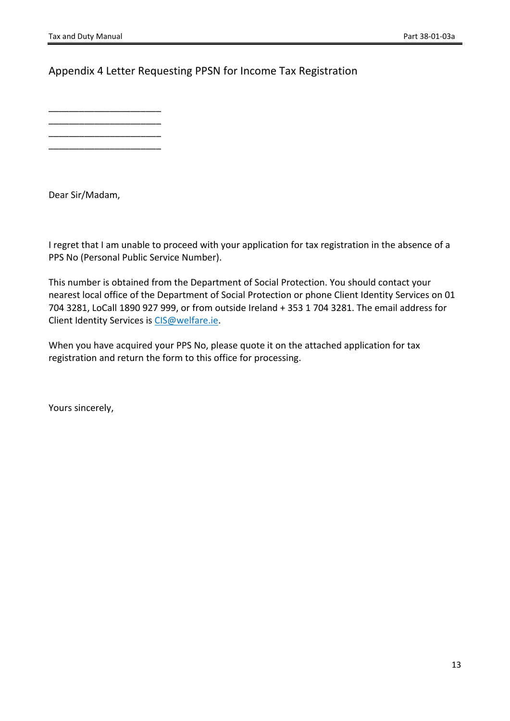### <span id="page-12-0"></span>Appendix 4 Letter Requesting PPSN for Income Tax Registration

\_\_\_\_\_\_\_\_\_\_\_\_\_\_\_\_\_\_\_\_\_\_ \_\_\_\_\_\_\_\_\_\_\_\_\_\_\_\_\_\_\_\_\_\_ \_\_\_\_\_\_\_\_\_\_\_\_\_\_\_\_\_\_\_\_\_\_

\_\_\_\_\_\_\_\_\_\_\_\_\_\_\_\_\_\_\_\_\_\_

Dear Sir/Madam,

I regret that I am unable to proceed with your application for tax registration in the absence of a PPS No (Personal Public Service Number).

This number is obtained from the Department of Social Protection. You should contact your nearest local office of the Department of Social Protection or phone Client Identity Services on 01 704 3281, LoCall 1890 927 999, or from outside Ireland + 353 1 704 3281. The email address for Client Identity Services is [CIS@welfare.ie.](mailto:CIS@welfare.ie)

When you have acquired your PPS No, please quote it on the attached application for tax registration and return the form to this office for processing.

Yours sincerely,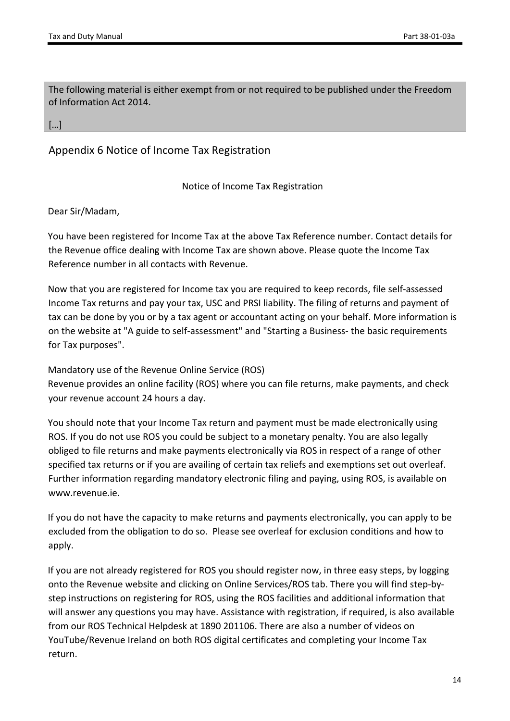The following material is either exempt from or not required to be published under the Freedom of Information Act 2014.

[…]

### <span id="page-13-0"></span>Appendix 6 Notice of Income Tax Registration

Notice of Income Tax Registration

Dear Sir/Madam,

You have been registered for Income Tax at the above Tax Reference number. Contact details for the Revenue office dealing with Income Tax are shown above. Please quote the Income Tax Reference number in all contacts with Revenue.

Now that you are registered for Income tax you are required to keep records, file self-assessed Income Tax returns and pay your tax, USC and PRSI liability. The filing of returns and payment of tax can be done by you or by a tax agent or accountant acting on your behalf. More information is on the website at "A guide to self-assessment" and "Starting a Business- the basic requirements for Tax purposes".

Mandatory use of the Revenue Online Service (ROS) Revenue provides an online facility (ROS) where you can file returns, make payments, and check

your revenue account 24 hours a day.

You should note that your Income Tax return and payment must be made electronically using ROS. If you do not use ROS you could be subject to a monetary penalty. You are also legally obliged to file returns and make payments electronically via ROS in respect of a range of other specified tax returns or if you are availing of certain tax reliefs and exemptions set out overleaf. Further information regarding mandatory electronic filing and paying, using ROS, is available on www.revenue.ie.

If you do not have the capacity to make returns and payments electronically, you can apply to be excluded from the obligation to do so. Please see overleaf for exclusion conditions and how to apply.

If you are not already registered for ROS you should register now, in three easy steps, by logging onto the Revenue website and clicking on Online Services/ROS tab. There you will find step-bystep instructions on registering for ROS, using the ROS facilities and additional information that will answer any questions you may have. Assistance with registration, if required, is also available from our ROS Technical Helpdesk at 1890 201106. There are also a number of videos on YouTube/Revenue Ireland on both ROS digital certificates and completing your Income Tax return.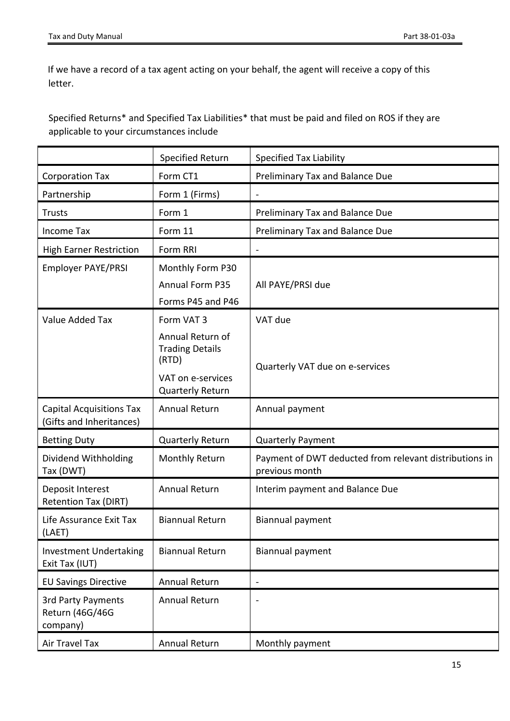If we have a record of a tax agent acting on your behalf, the agent will receive a copy of this letter.

Specified Returns\* and Specified Tax Liabilities\* that must be paid and filed on ROS if they are applicable to your circumstances include

|                                                             | <b>Specified Return</b>                                                  | <b>Specified Tax Liability</b>                                           |  |
|-------------------------------------------------------------|--------------------------------------------------------------------------|--------------------------------------------------------------------------|--|
| <b>Corporation Tax</b>                                      | Form CT1                                                                 | Preliminary Tax and Balance Due                                          |  |
| Partnership                                                 | Form 1 (Firms)                                                           |                                                                          |  |
| <b>Trusts</b>                                               | Form 1                                                                   | Preliminary Tax and Balance Due                                          |  |
| Income Tax                                                  | Form 11                                                                  | Preliminary Tax and Balance Due                                          |  |
| <b>High Earner Restriction</b>                              | Form RRI                                                                 |                                                                          |  |
| <b>Employer PAYE/PRSI</b>                                   | Monthly Form P30                                                         |                                                                          |  |
|                                                             | Annual Form P35                                                          | All PAYE/PRSI due                                                        |  |
|                                                             | Forms P45 and P46                                                        |                                                                          |  |
| Value Added Tax                                             | Form VAT 3                                                               | VAT due                                                                  |  |
|                                                             | Annual Return of<br><b>Trading Details</b><br>(RTD)<br>VAT on e-services | Quarterly VAT due on e-services                                          |  |
|                                                             | Quarterly Return                                                         |                                                                          |  |
| <b>Capital Acquisitions Tax</b><br>(Gifts and Inheritances) | <b>Annual Return</b>                                                     | Annual payment                                                           |  |
| <b>Betting Duty</b>                                         | Quarterly Return                                                         | <b>Quarterly Payment</b>                                                 |  |
| Dividend Withholding<br>Tax (DWT)                           | Monthly Return                                                           | Payment of DWT deducted from relevant distributions in<br>previous month |  |
| Deposit Interest<br><b>Retention Tax (DIRT)</b>             | <b>Annual Return</b>                                                     | Interim payment and Balance Due                                          |  |
| Life Assurance Exit Tax<br>(LAET)                           | <b>Biannual Return</b>                                                   | Biannual payment                                                         |  |
| <b>Investment Undertaking</b><br>Exit Tax (IUT)             | <b>Biannual Return</b>                                                   | Biannual payment                                                         |  |
| <b>EU Savings Directive</b>                                 | Annual Return                                                            |                                                                          |  |
| <b>3rd Party Payments</b><br>Return (46G/46G<br>company)    | <b>Annual Return</b>                                                     |                                                                          |  |
| Air Travel Tax                                              | Annual Return                                                            | Monthly payment                                                          |  |